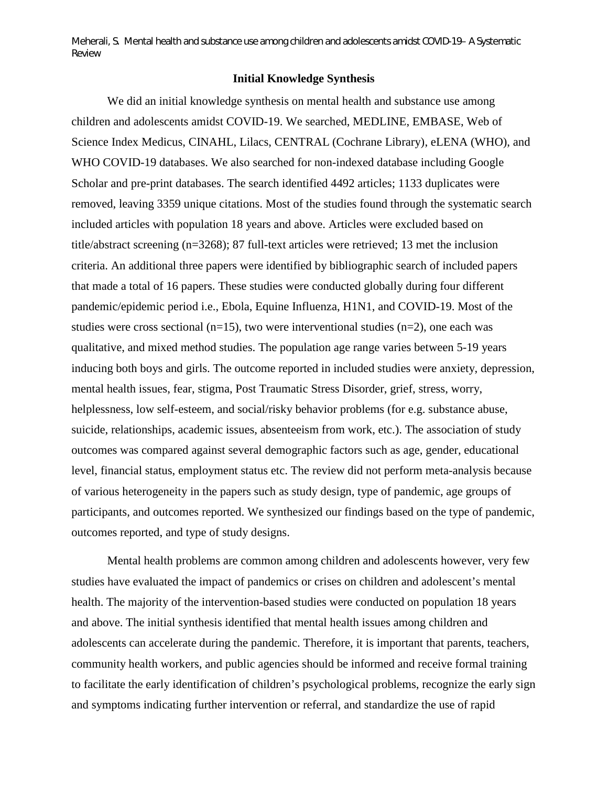Meherali, S. Mental health and substance use among children and adolescents amidst COVID-19– A Systematic Review

## **Initial Knowledge Synthesis**

We did an initial knowledge synthesis on mental health and substance use among children and adolescents amidst COVID-19. We searched, MEDLINE, EMBASE, Web of Science Index Medicus, CINAHL, Lilacs, CENTRAL (Cochrane Library), eLENA (WHO), and WHO COVID-19 databases. We also searched for non-indexed database including Google Scholar and pre-print databases. The search identified 4492 articles; 1133 duplicates were removed, leaving 3359 unique citations. Most of the studies found through the systematic search included articles with population 18 years and above. Articles were excluded based on title/abstract screening (n=3268); 87 full-text articles were retrieved; 13 met the inclusion criteria. An additional three papers were identified by bibliographic search of included papers that made a total of 16 papers. These studies were conducted globally during four different pandemic/epidemic period i.e., Ebola, Equine Influenza, H1N1, and COVID-19. Most of the studies were cross sectional ( $n=15$ ), two were interventional studies ( $n=2$ ), one each was qualitative, and mixed method studies. The population age range varies between 5-19 years inducing both boys and girls. The outcome reported in included studies were anxiety, depression, mental health issues, fear, stigma, Post Traumatic Stress Disorder, grief, stress, worry, helplessness, low self-esteem, and social/risky behavior problems (for e.g. substance abuse, suicide, relationships, academic issues, absenteeism from work, etc.). The association of study outcomes was compared against several demographic factors such as age, gender, educational level, financial status, employment status etc. The review did not perform meta-analysis because of various heterogeneity in the papers such as study design, type of pandemic, age groups of participants, and outcomes reported. We synthesized our findings based on the type of pandemic, outcomes reported, and type of study designs.

Mental health problems are common among children and adolescents however, very few studies have evaluated the impact of pandemics or crises on children and adolescent's mental health. The majority of the intervention-based studies were conducted on population 18 years and above. The initial synthesis identified that mental health issues among children and adolescents can accelerate during the pandemic. Therefore, it is important that parents, teachers, community health workers, and public agencies should be informed and receive formal training to facilitate the early identification of children's psychological problems, recognize the early sign and symptoms indicating further intervention or referral, and standardize the use of rapid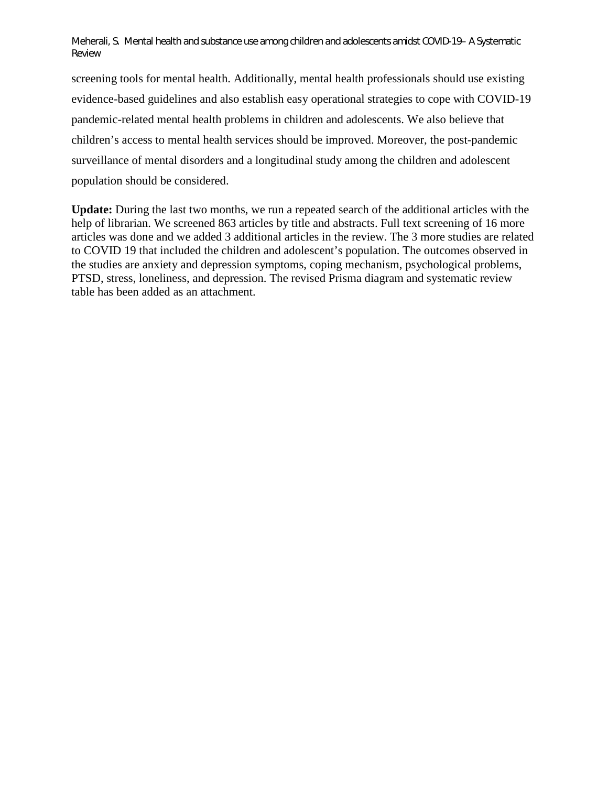Meherali, S. Mental health and substance use among children and adolescents amidst COVID-19– A Systematic Review

screening tools for mental health. Additionally, mental health professionals should use existing evidence-based guidelines and also establish easy operational strategies to cope with COVID-19 pandemic-related mental health problems in children and adolescents. We also believe that children's access to mental health services should be improved. Moreover, the post-pandemic surveillance of mental disorders and a longitudinal study among the children and adolescent population should be considered.

**Update:** During the last two months, we run a repeated search of the additional articles with the help of librarian. We screened 863 articles by title and abstracts. Full text screening of 16 more articles was done and we added 3 additional articles in the review. The 3 more studies are related to COVID 19 that included the children and adolescent's population. The outcomes observed in the studies are anxiety and depression symptoms, coping mechanism, psychological problems, PTSD, stress, loneliness, and depression. The revised Prisma diagram and systematic review table has been added as an attachment.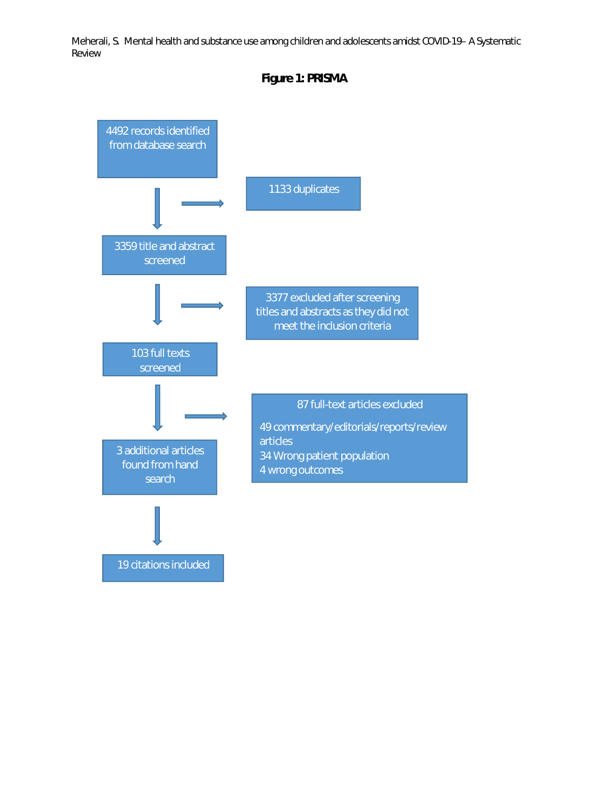Meherali, S. Mental health and substance use among children and adolescents amidst COVID-19– A Systematic Review



**Figure 1: PRISMA**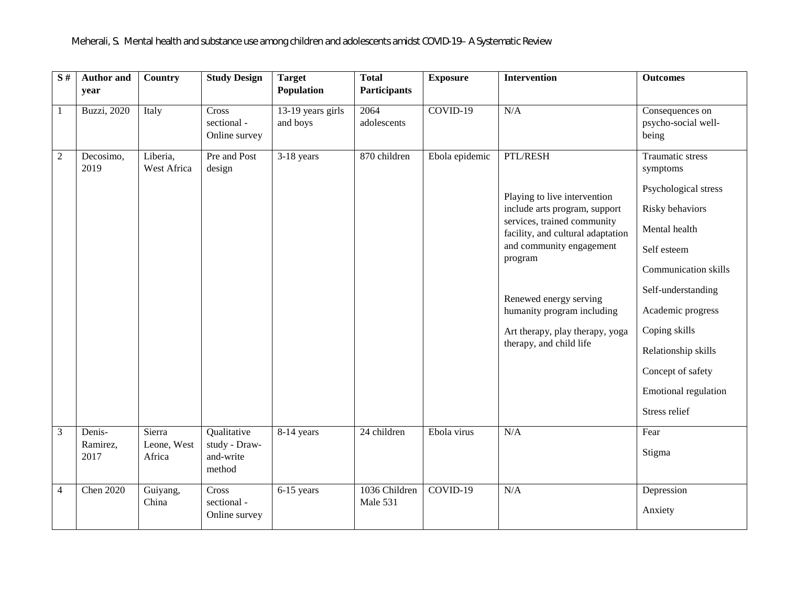| $\overline{\mathbf{S}^{\#}}$ | <b>Author and</b><br>year  | <b>Country</b>                  | <b>Study Design</b>                                 | <b>Target</b><br>Population     | <b>Total</b><br><b>Participants</b> | <b>Exposure</b> | <b>Intervention</b>                                                                                                                                                                                                                                                                                        | <b>Outcomes</b>                                                                                                                                                                                                                                                                                       |
|------------------------------|----------------------------|---------------------------------|-----------------------------------------------------|---------------------------------|-------------------------------------|-----------------|------------------------------------------------------------------------------------------------------------------------------------------------------------------------------------------------------------------------------------------------------------------------------------------------------------|-------------------------------------------------------------------------------------------------------------------------------------------------------------------------------------------------------------------------------------------------------------------------------------------------------|
| 1                            | <b>Buzzi</b> , 2020        | Italy                           | Cross<br>sectional -<br>Online survey               | $13-19$ years girls<br>and boys | 2064<br>adolescents                 | $COVID-19$      | N/A                                                                                                                                                                                                                                                                                                        | Consequences on<br>psycho-social well-<br>being                                                                                                                                                                                                                                                       |
| $\overline{2}$               | Decosimo,<br>2019          | Liberia,<br>West Africa         | Pre and Post<br>design                              | $3-18$ years                    | 870 children                        | Ebola epidemic  | PTL/RESH<br>Playing to live intervention<br>include arts program, support<br>services, trained community<br>facility, and cultural adaptation<br>and community engagement<br>program<br>Renewed energy serving<br>humanity program including<br>Art therapy, play therapy, yoga<br>therapy, and child life | <b>Traumatic stress</b><br>symptoms<br>Psychological stress<br>Risky behaviors<br>Mental health<br>Self esteem<br><b>Communication skills</b><br>Self-understanding<br>Academic progress<br>Coping skills<br>Relationship skills<br>Concept of safety<br><b>Emotional regulation</b><br>Stress relief |
| 3                            | Denis-<br>Ramirez,<br>2017 | Sierra<br>Leone, West<br>Africa | Qualitative<br>study - Draw-<br>and-write<br>method | 8-14 years                      | 24 children                         | Ebola virus     | N/A                                                                                                                                                                                                                                                                                                        | Fear<br>Stigma                                                                                                                                                                                                                                                                                        |
| 4                            | <b>Chen 2020</b>           | Guiyang,<br>China               | Cross<br>sectional -<br>Online survey               | 6-15 years                      | 1036 Children<br>Male 531           | $COVID-19$      | N/A                                                                                                                                                                                                                                                                                                        | Depression<br>Anxiety                                                                                                                                                                                                                                                                                 |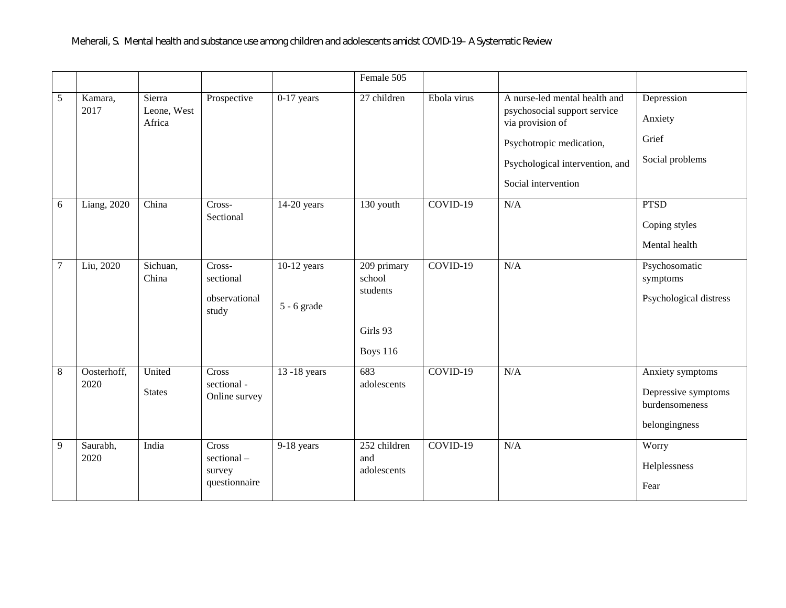|                |                     |                                 |                                                |                                | Female 505                                                         |             |                                                                                                                                                                         |                                                                            |
|----------------|---------------------|---------------------------------|------------------------------------------------|--------------------------------|--------------------------------------------------------------------|-------------|-------------------------------------------------------------------------------------------------------------------------------------------------------------------------|----------------------------------------------------------------------------|
| 5              | Kamara,<br>2017     | Sierra<br>Leone, West<br>Africa | Prospective                                    | $0-17$ years                   | 27 children                                                        | Ebola virus | A nurse-led mental health and<br>psychosocial support service<br>via provision of<br>Psychotropic medication,<br>Psychological intervention, and<br>Social intervention | Depression<br>Anxiety<br>Grief<br>Social problems                          |
| 6              | Liang, 2020         | China                           | Cross-<br>Sectional                            | $14-20$ years                  | 130 youth                                                          | $COVID-19$  | N/A                                                                                                                                                                     | <b>PTSD</b><br>Coping styles<br>Mental health                              |
| $\overline{7}$ | Liu, 2020           | Sichuan,<br>China               | Cross-<br>sectional<br>observational<br>study  | $10-12$ years<br>$5 - 6$ grade | $209$ primary<br>school<br>students<br>Girls 93<br><b>Boys 116</b> | $COVID-19$  | N/A                                                                                                                                                                     | Psychosomatic<br>symptoms<br>Psychological distress                        |
| 8              | Oosterhoff,<br>2020 | United<br><b>States</b>         | Cross<br>sectional -<br>Online survey          | 13 -18 years                   | 683<br>adolescents                                                 | COVID-19    | N/A                                                                                                                                                                     | Anxiety symptoms<br>Depressive symptoms<br>burdensomeness<br>belongingness |
| 9              | Saurabh,<br>2020    | India                           | Cross<br>sectional-<br>survey<br>questionnaire | 9-18 years                     | 252 children<br>and<br>adolescents                                 | COVID-19    | N/A                                                                                                                                                                     | Worry<br>Helplessness<br>Fear                                              |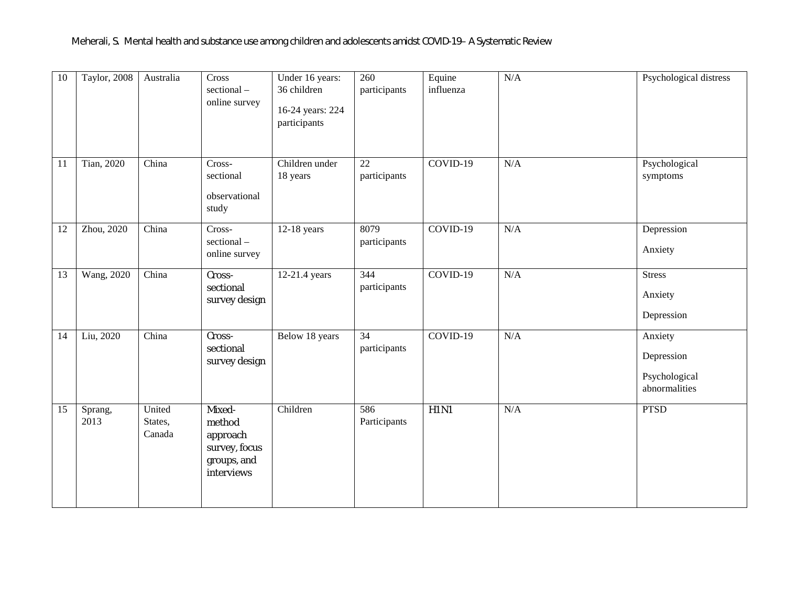| $\overline{10}$ | Taylor, 2008    | Australia                   | Cross<br>sectional-<br>online survey                                       | Under 16 years:<br>36 children<br>16-24 years: 224<br>participants | 260<br>participants             | Equine<br>influenza | N/A | Psychological distress                                  |
|-----------------|-----------------|-----------------------------|----------------------------------------------------------------------------|--------------------------------------------------------------------|---------------------------------|---------------------|-----|---------------------------------------------------------|
| 11              | Tian, 2020      | China                       | Cross-<br>sectional<br>observational<br>study                              | Children under<br>18 years                                         | $\overline{22}$<br>participants | $COVID-19$          | N/A | Psychological<br>symptoms                               |
| 12              | Zhou, 2020      | China                       | Cross-<br>sectional-<br>online survey                                      | $12-18$ years                                                      | 8079<br>participants            | $COVID-19$          | N/A | Depression<br>Anxiety                                   |
| 13              | Wang, 2020      | China                       | Cross-<br>sectional<br>survey design                                       | 12-21.4 years                                                      | 344<br>participants             | $COVID-19$          | N/A | <b>Stress</b><br>Anxiety<br>Depression                  |
| 14              | Liu, 2020       | China                       | Cross-<br>sectional<br>survey design                                       | Below 18 years                                                     | $\overline{34}$<br>participants | $COVID-19$          | N/A | Anxiety<br>Depression<br>Psychological<br>abnormalities |
| 15              | Sprang,<br>2013 | United<br>States,<br>Canada | Mixed-<br>method<br>approach<br>survey, focus<br>groups, and<br>interviews | Children                                                           | 586<br>Participants             | H1N1                | N/A | <b>PTSD</b>                                             |